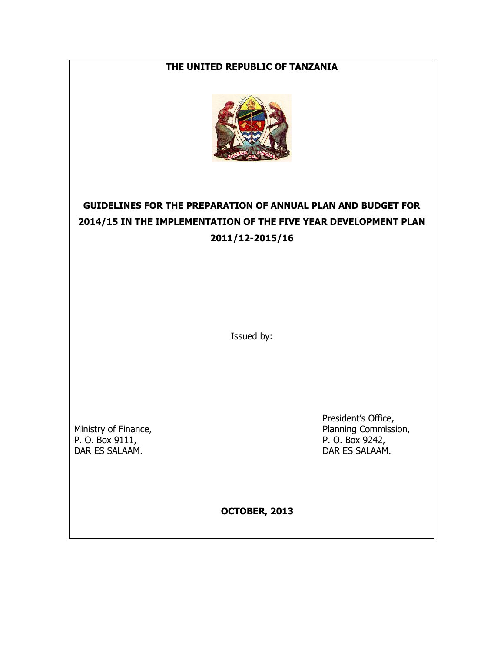## **THE UNITED REPUBLIC OF TANZANIA**



# **GUIDELINES FOR THE PREPARATION OF ANNUAL PLAN AND BUDGET FOR 2014/15 IN THE IMPLEMENTATION OF THE FIVE YEAR DEVELOPMENT PLAN 2011/12-2015/16**

Issued by:

DAR ES SALAAM. DAR ES SALAAM.

 President's Office, Ministry of Finance,<br>
P. O. Box 9111,<br>
P. O. Box 9242, P. O. Box 9242,

**OCTOBER, 2013**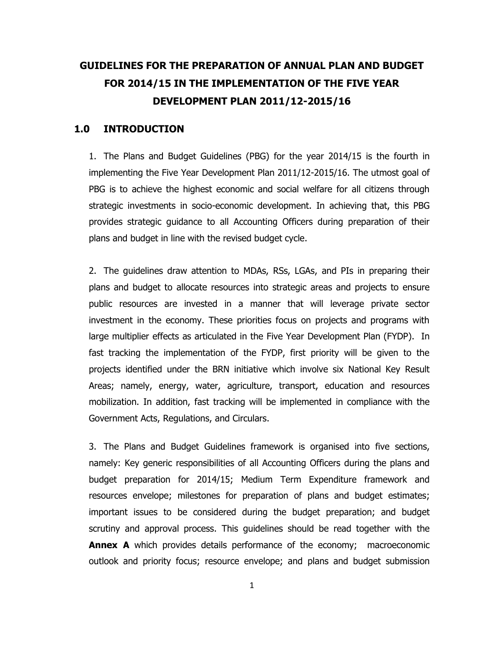# **GUIDELINES FOR THE PREPARATION OF ANNUAL PLAN AND BUDGET FOR 2014/15 IN THE IMPLEMENTATION OF THE FIVE YEAR DEVELOPMENT PLAN 2011/12-2015/16**

## **1.0 INTRODUCTION**

1. The Plans and Budget Guidelines (PBG) for the year 2014/15 is the fourth in implementing the Five Year Development Plan 2011/12-2015/16. The utmost goal of PBG is to achieve the highest economic and social welfare for all citizens through strategic investments in socio-economic development. In achieving that, this PBG provides strategic guidance to all Accounting Officers during preparation of their plans and budget in line with the revised budget cycle.

2. The guidelines draw attention to MDAs, RSs, LGAs, and PIs in preparing their plans and budget to allocate resources into strategic areas and projects to ensure public resources are invested in a manner that will leverage private sector investment in the economy. These priorities focus on projects and programs with large multiplier effects as articulated in the Five Year Development Plan (FYDP). In fast tracking the implementation of the FYDP, first priority will be given to the projects identified under the BRN initiative which involve six National Key Result Areas; namely, energy, water, agriculture, transport, education and resources mobilization. In addition, fast tracking will be implemented in compliance with the Government Acts, Regulations, and Circulars.

3. The Plans and Budget Guidelines framework is organised into five sections, namely: Key generic responsibilities of all Accounting Officers during the plans and budget preparation for 2014/15; Medium Term Expenditure framework and resources envelope; milestones for preparation of plans and budget estimates; important issues to be considered during the budget preparation; and budget scrutiny and approval process. This guidelines should be read together with the **Annex A** which provides details performance of the economy; macroeconomic outlook and priority focus; resource envelope; and plans and budget submission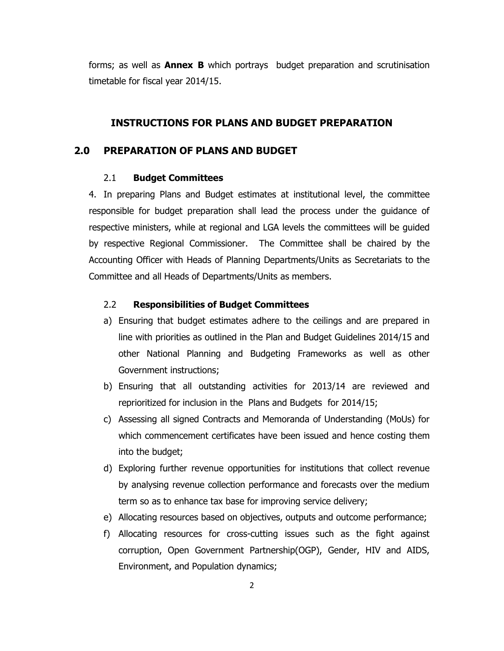forms; as well as **Annex B** which portrays budget preparation and scrutinisation timetable for fiscal year 2014/15.

## **INSTRUCTIONS FOR PLANS AND BUDGET PREPARATION**

## **2.0 PREPARATION OF PLANS AND BUDGET**

## 2.1 **Budget Committees**

4. In preparing Plans and Budget estimates at institutional level, the committee responsible for budget preparation shall lead the process under the guidance of respective ministers, while at regional and LGA levels the committees will be guided by respective Regional Commissioner. The Committee shall be chaired by the Accounting Officer with Heads of Planning Departments/Units as Secretariats to the Committee and all Heads of Departments/Units as members.

## 2.2 **Responsibilities of Budget Committees**

- a) Ensuring that budget estimates adhere to the ceilings and are prepared in line with priorities as outlined in the Plan and Budget Guidelines 2014/15 and other National Planning and Budgeting Frameworks as well as other Government instructions;
- b) Ensuring that all outstanding activities for 2013/14 are reviewed and reprioritized for inclusion in the Plans and Budgets for 2014/15;
- c) Assessing all signed Contracts and Memoranda of Understanding (MoUs) for which commencement certificates have been issued and hence costing them into the budget;
- d) Exploring further revenue opportunities for institutions that collect revenue by analysing revenue collection performance and forecasts over the medium term so as to enhance tax base for improving service delivery;
- e) Allocating resources based on objectives, outputs and outcome performance;
- f) Allocating resources for cross-cutting issues such as the fight against corruption, Open Government Partnership(OGP), Gender, HIV and AIDS, Environment, and Population dynamics;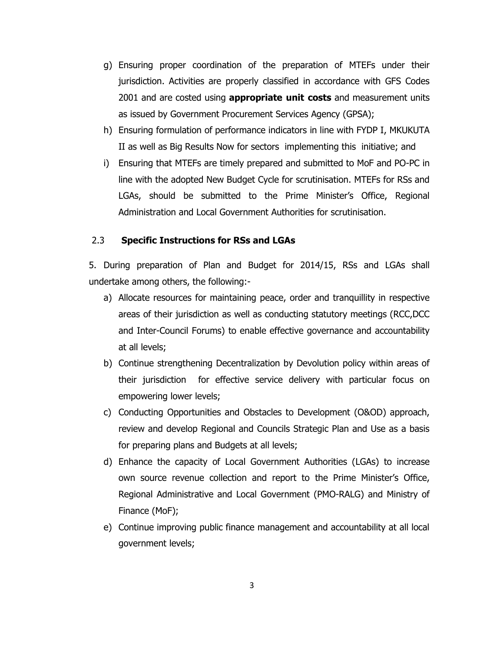- g) Ensuring proper coordination of the preparation of MTEFs under their jurisdiction. Activities are properly classified in accordance with GFS Codes 2001 and are costed using **appropriate unit costs** and measurement units as issued by Government Procurement Services Agency (GPSA);
- h) Ensuring formulation of performance indicators in line with FYDP I, MKUKUTA II as well as Big Results Now for sectors implementing this initiative; and
- i) Ensuring that MTEFs are timely prepared and submitted to MoF and PO-PC in line with the adopted New Budget Cycle for scrutinisation. MTEFs for RSs and LGAs, should be submitted to the Prime Minister's Office, Regional Administration and Local Government Authorities for scrutinisation.

## 2.3 **Specific Instructions for RSs and LGAs**

5. During preparation of Plan and Budget for 2014/15, RSs and LGAs shall undertake among others, the following:-

- a) Allocate resources for maintaining peace, order and tranquillity in respective areas of their jurisdiction as well as conducting statutory meetings (RCC,DCC and Inter-Council Forums) to enable effective governance and accountability at all levels;
- b) Continue strengthening Decentralization by Devolution policy within areas of their jurisdiction for effective service delivery with particular focus on empowering lower levels;
- c) Conducting Opportunities and Obstacles to Development (O&OD) approach, review and develop Regional and Councils Strategic Plan and Use as a basis for preparing plans and Budgets at all levels;
- d) Enhance the capacity of Local Government Authorities (LGAs) to increase own source revenue collection and report to the Prime Minister's Office, Regional Administrative and Local Government (PMO-RALG) and Ministry of Finance (MoF);
- e) Continue improving public finance management and accountability at all local government levels;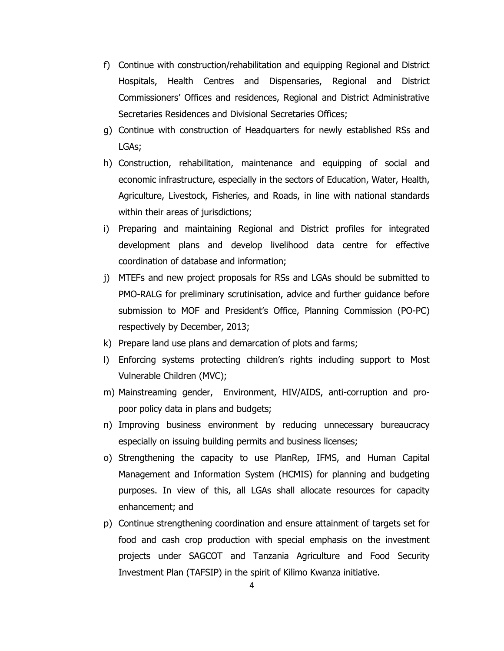- f) Continue with construction/rehabilitation and equipping Regional and District Hospitals, Health Centres and Dispensaries, Regional and District Commissioners' Offices and residences, Regional and District Administrative Secretaries Residences and Divisional Secretaries Offices;
- g) Continue with construction of Headquarters for newly established RSs and LGAs;
- h) Construction, rehabilitation, maintenance and equipping of social and economic infrastructure, especially in the sectors of Education, Water, Health, Agriculture, Livestock, Fisheries, and Roads, in line with national standards within their areas of jurisdictions;
- i) Preparing and maintaining Regional and District profiles for integrated development plans and develop livelihood data centre for effective coordination of database and information;
- j) MTEFs and new project proposals for RSs and LGAs should be submitted to PMO-RALG for preliminary scrutinisation, advice and further guidance before submission to MOF and President's Office, Planning Commission (PO-PC) respectively by December, 2013;
- k) Prepare land use plans and demarcation of plots and farms;
- l) Enforcing systems protecting children's rights including support to Most Vulnerable Children (MVC);
- m) Mainstreaming gender, Environment, HIV/AIDS, anti-corruption and propoor policy data in plans and budgets;
- n) Improving business environment by reducing unnecessary bureaucracy especially on issuing building permits and business licenses;
- o) Strengthening the capacity to use PlanRep, IFMS, and Human Capital Management and Information System (HCMIS) for planning and budgeting purposes. In view of this, all LGAs shall allocate resources for capacity enhancement; and
- p) Continue strengthening coordination and ensure attainment of targets set for food and cash crop production with special emphasis on the investment projects under SAGCOT and Tanzania Agriculture and Food Security Investment Plan (TAFSIP) in the spirit of Kilimo Kwanza initiative.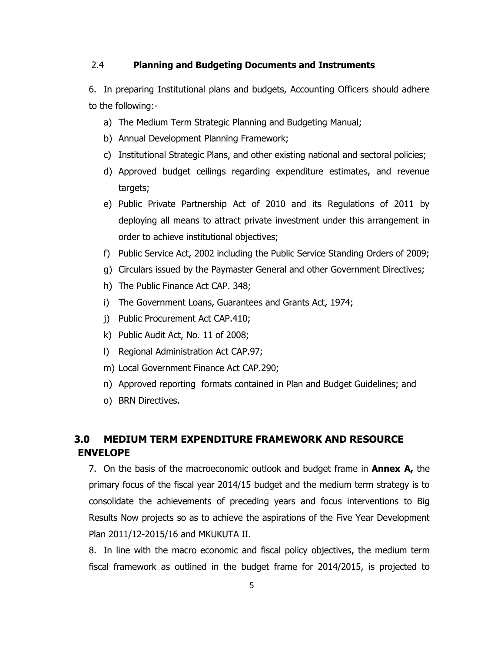## 2.4 **Planning and Budgeting Documents and Instruments**

6. In preparing Institutional plans and budgets, Accounting Officers should adhere to the following:-

- a) The Medium Term Strategic Planning and Budgeting Manual;
- b) Annual Development Planning Framework;
- c) Institutional Strategic Plans, and other existing national and sectoral policies;
- d) Approved budget ceilings regarding expenditure estimates, and revenue targets;
- e) Public Private Partnership Act of 2010 and its Regulations of 2011 by deploying all means to attract private investment under this arrangement in order to achieve institutional objectives;
- f) Public Service Act, 2002 including the Public Service Standing Orders of 2009;
- g) Circulars issued by the Paymaster General and other Government Directives;
- h) The Public Finance Act CAP. 348;
- i) The Government Loans, Guarantees and Grants Act, 1974;
- j) Public Procurement Act CAP.410;
- k) Public Audit Act, No. 11 of 2008;
- l) Regional Administration Act CAP.97;
- m) Local Government Finance Act CAP.290;
- n) Approved reporting formats contained in Plan and Budget Guidelines; and
- o) BRN Directives.

# **3.0 MEDIUM TERM EXPENDITURE FRAMEWORK AND RESOURCE ENVELOPE**

7. On the basis of the macroeconomic outlook and budget frame in **Annex A,** the primary focus of the fiscal year 2014/15 budget and the medium term strategy is to consolidate the achievements of preceding years and focus interventions to Big Results Now projects so as to achieve the aspirations of the Five Year Development Plan 2011/12-2015/16 and MKUKUTA II.

8. In line with the macro economic and fiscal policy objectives, the medium term fiscal framework as outlined in the budget frame for 2014/2015, is projected to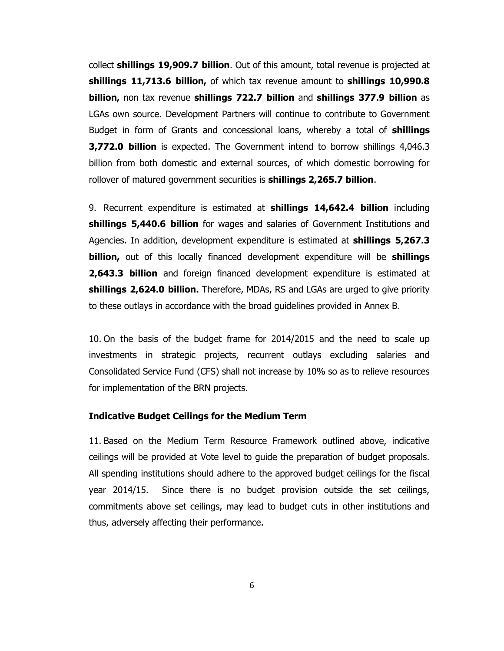collect **shillings 19,909.7 billion**. Out of this amount, total revenue is projected at **shillings 11,713.6 billion,** of which tax revenue amount to **shillings 10,990.8 billion,** non tax revenue **shillings 722.7 billion** and **shillings 377.9 billion** as LGAs own source. Development Partners will continue to contribute to Government Budget in form of Grants and concessional loans, whereby a total of **shillings 3,772.0 billion** is expected. The Government intend to borrow shillings 4,046.3 billion from both domestic and external sources, of which domestic borrowing for rollover of matured government securities is **shillings 2,265.7 billion**.

9. Recurrent expenditure is estimated at **shillings 14,642.4 billion** including **shillings 5,440.6 billion** for wages and salaries of Government Institutions and Agencies. In addition, development expenditure is estimated at **shillings 5,267.3 billion,** out of this locally financed development expenditure will be **shillings 2,643.3 billion** and foreign financed development expenditure is estimated at **shillings 2,624.0 billion.** Therefore, MDAs, RS and LGAs are urged to give priority to these outlays in accordance with the broad guidelines provided in Annex B.

10. On the basis of the budget frame for 2014/2015 and the need to scale up investments in strategic projects, recurrent outlays excluding salaries and Consolidated Service Fund (CFS) shall not increase by 10% so as to relieve resources for implementation of the BRN projects.

## **Indicative Budget Ceilings for the Medium Term**

11. Based on the Medium Term Resource Framework outlined above, indicative ceilings will be provided at Vote level to guide the preparation of budget proposals. All spending institutions should adhere to the approved budget ceilings for the fiscal year 2014/15. Since there is no budget provision outside the set ceilings, commitments above set ceilings, may lead to budget cuts in other institutions and thus, adversely affecting their performance.

6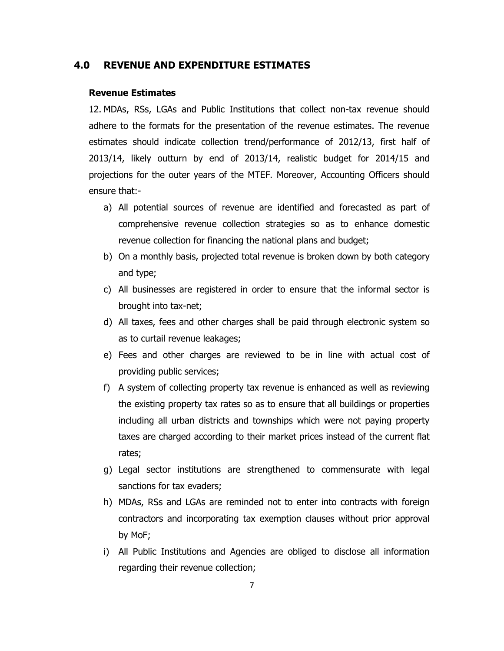## **4.0 REVENUE AND EXPENDITURE ESTIMATES**

#### **Revenue Estimates**

12. MDAs, RSs, LGAs and Public Institutions that collect non-tax revenue should adhere to the formats for the presentation of the revenue estimates. The revenue estimates should indicate collection trend/performance of 2012/13, first half of 2013/14, likely outturn by end of 2013/14, realistic budget for 2014/15 and projections for the outer years of the MTEF. Moreover, Accounting Officers should ensure that:-

- a) All potential sources of revenue are identified and forecasted as part of comprehensive revenue collection strategies so as to enhance domestic revenue collection for financing the national plans and budget;
- b) On a monthly basis, projected total revenue is broken down by both category and type;
- c) All businesses are registered in order to ensure that the informal sector is brought into tax-net;
- d) All taxes, fees and other charges shall be paid through electronic system so as to curtail revenue leakages;
- e) Fees and other charges are reviewed to be in line with actual cost of providing public services;
- f) A system of collecting property tax revenue is enhanced as well as reviewing the existing property tax rates so as to ensure that all buildings or properties including all urban districts and townships which were not paying property taxes are charged according to their market prices instead of the current flat rates;
- g) Legal sector institutions are strengthened to commensurate with legal sanctions for tax evaders;
- h) MDAs, RSs and LGAs are reminded not to enter into contracts with foreign contractors and incorporating tax exemption clauses without prior approval by MoF;
- i) All Public Institutions and Agencies are obliged to disclose all information regarding their revenue collection;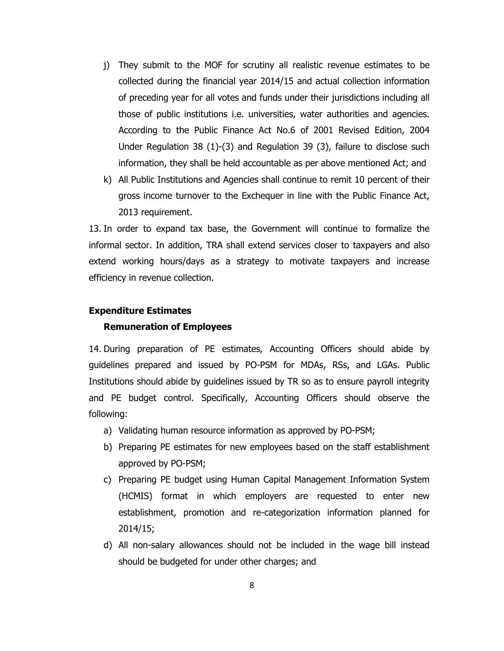- j) They submit to the MOF for scrutiny all realistic revenue estimates to be collected during the financial year 2014/15 and actual collection information of preceding year for all votes and funds under their jurisdictions including all those of public institutions i.e. universities, water authorities and agencies. According to the Public Finance Act No.6 of 2001 Revised Edition, 2004 Under Regulation 38 (1)-(3) and Regulation 39 (3), failure to disclose such information, they shall be held accountable as per above mentioned Act; and
- k) All Public Institutions and Agencies shall continue to remit 10 percent of their gross income turnover to the Exchequer in line with the Public Finance Act, 2013 requirement.

13. In order to expand tax base, the Government will continue to formalize the informal sector. In addition, TRA shall extend services closer to taxpayers and also extend working hours/days as a strategy to motivate taxpayers and increase efficiency in revenue collection.

#### **Expenditure Estimates**

#### **Remuneration of Employees**

14. During preparation of PE estimates, Accounting Officers should abide by guidelines prepared and issued by PO-PSM for MDAs, RSs, and LGAs. Public Institutions should abide by guidelines issued by TR so as to ensure payroll integrity and PE budget control. Specifically, Accounting Officers should observe the following:

- a) Validating human resource information as approved by PO-PSM;
- b) Preparing PE estimates for new employees based on the staff establishment approved by PO-PSM;
- c) Preparing PE budget using Human Capital Management Information System (HCMIS) format in which employers are requested to enter new establishment, promotion and re-categorization information planned for 2014/15;
- d) All non-salary allowances should not be included in the wage bill instead should be budgeted for under other charges; and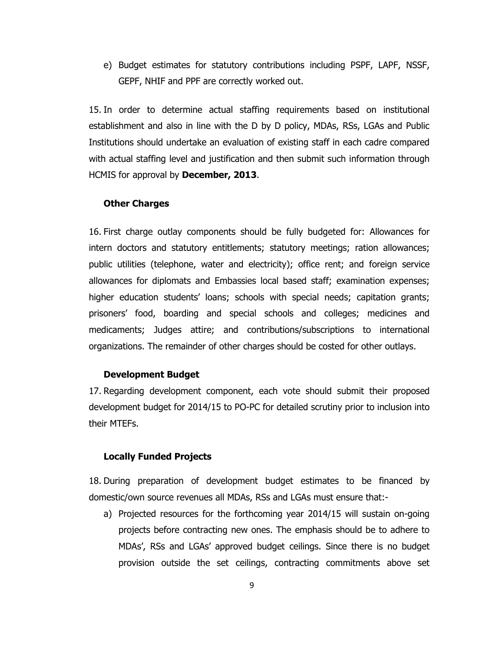e) Budget estimates for statutory contributions including PSPF, LAPF, NSSF, GEPF, NHIF and PPF are correctly worked out.

15. In order to determine actual staffing requirements based on institutional establishment and also in line with the D by D policy, MDAs, RSs, LGAs and Public Institutions should undertake an evaluation of existing staff in each cadre compared with actual staffing level and justification and then submit such information through HCMIS for approval by **December, 2013**.

#### **Other Charges**

16. First charge outlay components should be fully budgeted for: Allowances for intern doctors and statutory entitlements; statutory meetings; ration allowances; public utilities (telephone, water and electricity); office rent; and foreign service allowances for diplomats and Embassies local based staff; examination expenses; higher education students' loans; schools with special needs; capitation grants; prisoners' food, boarding and special schools and colleges; medicines and medicaments; Judges attire; and contributions/subscriptions to international organizations. The remainder of other charges should be costed for other outlays.

#### **Development Budget**

17. Regarding development component, each vote should submit their proposed development budget for 2014/15 to PO-PC for detailed scrutiny prior to inclusion into their MTEFs.

#### **Locally Funded Projects**

18. During preparation of development budget estimates to be financed by domestic/own source revenues all MDAs, RSs and LGAs must ensure that:-

a) Projected resources for the forthcoming year 2014/15 will sustain on-going projects before contracting new ones. The emphasis should be to adhere to MDAs', RSs and LGAs' approved budget ceilings. Since there is no budget provision outside the set ceilings, contracting commitments above set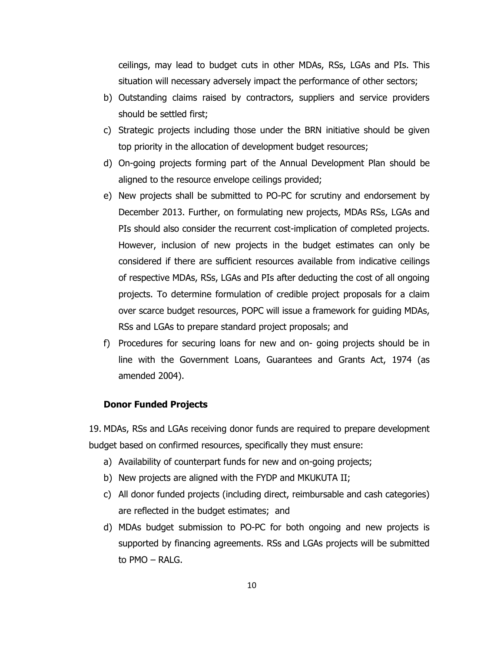ceilings, may lead to budget cuts in other MDAs, RSs, LGAs and PIs. This situation will necessary adversely impact the performance of other sectors;

- b) Outstanding claims raised by contractors, suppliers and service providers should be settled first;
- c) Strategic projects including those under the BRN initiative should be given top priority in the allocation of development budget resources;
- d) On-going projects forming part of the Annual Development Plan should be aligned to the resource envelope ceilings provided;
- e) New projects shall be submitted to PO-PC for scrutiny and endorsement by December 2013. Further, on formulating new projects, MDAs RSs, LGAs and PIs should also consider the recurrent cost-implication of completed projects. However, inclusion of new projects in the budget estimates can only be considered if there are sufficient resources available from indicative ceilings of respective MDAs, RSs, LGAs and PIs after deducting the cost of all ongoing projects. To determine formulation of credible project proposals for a claim over scarce budget resources, POPC will issue a framework for guiding MDAs, RSs and LGAs to prepare standard project proposals; and
- f) Procedures for securing loans for new and on- going projects should be in line with the Government Loans, Guarantees and Grants Act, 1974 (as amended 2004).

## **Donor Funded Projects**

19. MDAs, RSs and LGAs receiving donor funds are required to prepare development budget based on confirmed resources, specifically they must ensure:

- a) Availability of counterpart funds for new and on-going projects;
- b) New projects are aligned with the FYDP and MKUKUTA II;
- c) All donor funded projects (including direct, reimbursable and cash categories) are reflected in the budget estimates; and
- d) MDAs budget submission to PO-PC for both ongoing and new projects is supported by financing agreements. RSs and LGAs projects will be submitted to PMO – RALG.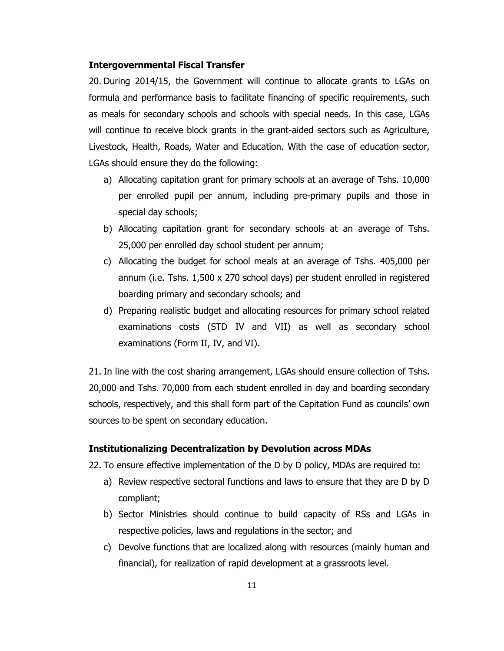## **Intergovernmental Fiscal Transfer**

20. During 2014/15, the Government will continue to allocate grants to LGAs on formula and performance basis to facilitate financing of specific requirements, such as meals for secondary schools and schools with special needs. In this case, LGAs will continue to receive block grants in the grant-aided sectors such as Agriculture, Livestock, Health, Roads, Water and Education. With the case of education sector, LGAs should ensure they do the following:

- a) Allocating capitation grant for primary schools at an average of Tshs. 10,000 per enrolled pupil per annum, including pre-primary pupils and those in special day schools;
- b) Allocating capitation grant for secondary schools at an average of Tshs. 25,000 per enrolled day school student per annum;
- c) Allocating the budget for school meals at an average of Tshs. 405,000 per annum (i.e. Tshs. 1,500 x 270 school days) per student enrolled in registered boarding primary and secondary schools; and
- d) Preparing realistic budget and allocating resources for primary school related examinations costs (STD IV and VII) as well as secondary school examinations (Form II, IV, and VI).

21. In line with the cost sharing arrangement, LGAs should ensure collection of Tshs. 20,000 and Tshs. 70,000 from each student enrolled in day and boarding secondary schools, respectively, and this shall form part of the Capitation Fund as councils' own sources to be spent on secondary education.

## **Institutionalizing Decentralization by Devolution across MDAs**

22. To ensure effective implementation of the D by D policy, MDAs are required to:

- a) Review respective sectoral functions and laws to ensure that they are D by D compliant;
- b) Sector Ministries should continue to build capacity of RSs and LGAs in respective policies, laws and regulations in the sector; and
- c) Devolve functions that are localized along with resources (mainly human and financial), for realization of rapid development at a grassroots level.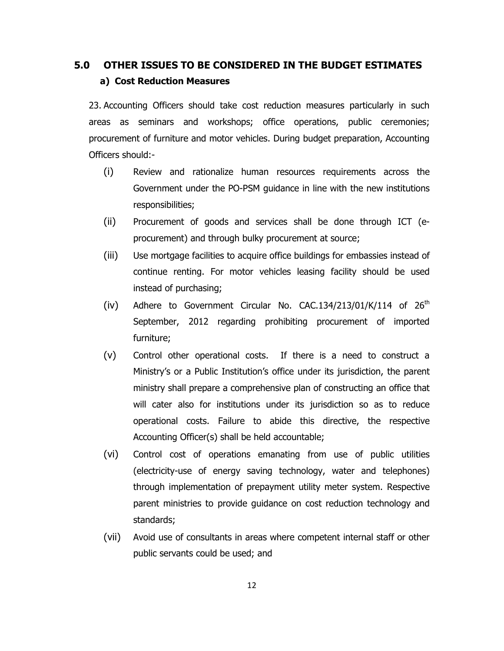# **5.0 OTHER ISSUES TO BE CONSIDERED IN THE BUDGET ESTIMATES a) Cost Reduction Measures**

23. Accounting Officers should take cost reduction measures particularly in such areas as seminars and workshops; office operations, public ceremonies; procurement of furniture and motor vehicles. During budget preparation, Accounting Officers should:-

- (i) Review and rationalize human resources requirements across the Government under the PO-PSM guidance in line with the new institutions responsibilities;
- (ii) Procurement of goods and services shall be done through ICT (eprocurement) and through bulky procurement at source;
- (iii) Use mortgage facilities to acquire office buildings for embassies instead of continue renting. For motor vehicles leasing facility should be used instead of purchasing;
- (iv) Adhere to Government Circular No. CAC.134/213/01/K/114 of  $26<sup>th</sup>$ September, 2012 regarding prohibiting procurement of imported furniture;
- (v) Control other operational costs. If there is a need to construct a Ministry's or a Public Institution's office under its jurisdiction, the parent ministry shall prepare a comprehensive plan of constructing an office that will cater also for institutions under its jurisdiction so as to reduce operational costs. Failure to abide this directive, the respective Accounting Officer(s) shall be held accountable;
- (vi) Control cost of operations emanating from use of public utilities (electricity-use of energy saving technology, water and telephones) through implementation of prepayment utility meter system. Respective parent ministries to provide guidance on cost reduction technology and standards;
- (vii) Avoid use of consultants in areas where competent internal staff or other public servants could be used; and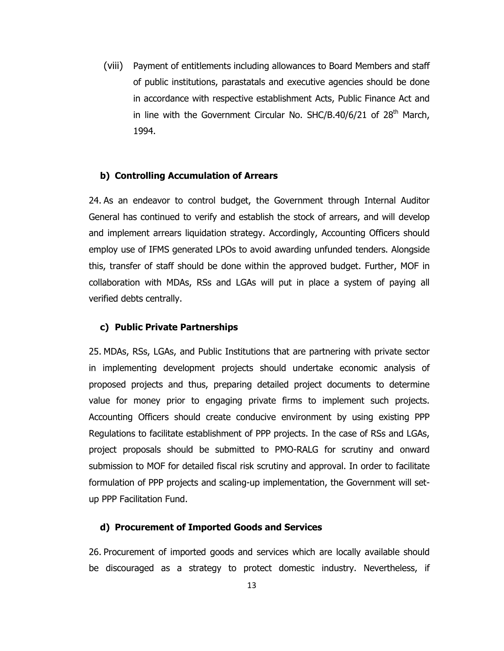(viii) Payment of entitlements including allowances to Board Members and staff of public institutions, parastatals and executive agencies should be done in accordance with respective establishment Acts, Public Finance Act and in line with the Government Circular No.  $SHC/B.40/6/21$  of  $28<sup>th</sup>$  March, 1994.

## **b) Controlling Accumulation of Arrears**

24. As an endeavor to control budget, the Government through Internal Auditor General has continued to verify and establish the stock of arrears, and will develop and implement arrears liquidation strategy. Accordingly, Accounting Officers should employ use of IFMS generated LPOs to avoid awarding unfunded tenders. Alongside this, transfer of staff should be done within the approved budget. Further, MOF in collaboration with MDAs, RSs and LGAs will put in place a system of paying all verified debts centrally.

## **c) Public Private Partnerships**

25. MDAs, RSs, LGAs, and Public Institutions that are partnering with private sector in implementing development projects should undertake economic analysis of proposed projects and thus, preparing detailed project documents to determine value for money prior to engaging private firms to implement such projects. Accounting Officers should create conducive environment by using existing PPP Regulations to facilitate establishment of PPP projects. In the case of RSs and LGAs, project proposals should be submitted to PMO-RALG for scrutiny and onward submission to MOF for detailed fiscal risk scrutiny and approval. In order to facilitate formulation of PPP projects and scaling-up implementation, the Government will setup PPP Facilitation Fund.

## **d) Procurement of Imported Goods and Services**

26. Procurement of imported goods and services which are locally available should be discouraged as a strategy to protect domestic industry. Nevertheless, if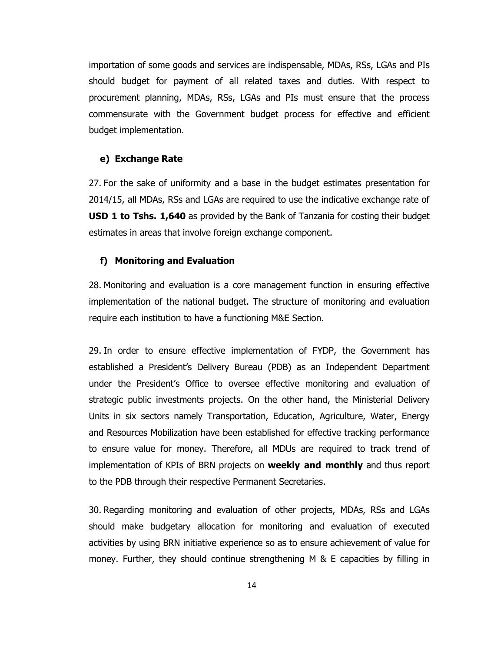importation of some goods and services are indispensable, MDAs, RSs, LGAs and PIs should budget for payment of all related taxes and duties. With respect to procurement planning, MDAs, RSs, LGAs and PIs must ensure that the process commensurate with the Government budget process for effective and efficient budget implementation.

## **e) Exchange Rate**

27. For the sake of uniformity and a base in the budget estimates presentation for 2014/15, all MDAs, RSs and LGAs are required to use the indicative exchange rate of **USD 1 to Tshs. 1,640** as provided by the Bank of Tanzania for costing their budget estimates in areas that involve foreign exchange component.

#### **f) Monitoring and Evaluation**

28. Monitoring and evaluation is a core management function in ensuring effective implementation of the national budget. The structure of monitoring and evaluation require each institution to have a functioning M&E Section.

29. In order to ensure effective implementation of FYDP, the Government has established a President's Delivery Bureau (PDB) as an Independent Department under the President's Office to oversee effective monitoring and evaluation of strategic public investments projects. On the other hand, the Ministerial Delivery Units in six sectors namely Transportation, Education, Agriculture, Water, Energy and Resources Mobilization have been established for effective tracking performance to ensure value for money. Therefore, all MDUs are required to track trend of implementation of KPIs of BRN projects on **weekly and monthly** and thus report to the PDB through their respective Permanent Secretaries.

30. Regarding monitoring and evaluation of other projects, MDAs, RSs and LGAs should make budgetary allocation for monitoring and evaluation of executed activities by using BRN initiative experience so as to ensure achievement of value for money. Further, they should continue strengthening M & E capacities by filling in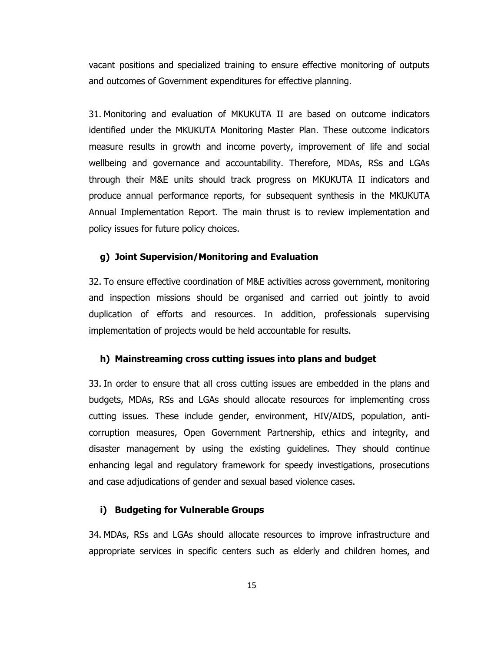vacant positions and specialized training to ensure effective monitoring of outputs and outcomes of Government expenditures for effective planning.

31. Monitoring and evaluation of MKUKUTA II are based on outcome indicators identified under the MKUKUTA Monitoring Master Plan. These outcome indicators measure results in growth and income poverty, improvement of life and social wellbeing and governance and accountability. Therefore, MDAs, RSs and LGAs through their M&E units should track progress on MKUKUTA II indicators and produce annual performance reports, for subsequent synthesis in the MKUKUTA Annual Implementation Report. The main thrust is to review implementation and policy issues for future policy choices.

## **g) Joint Supervision/Monitoring and Evaluation**

32. To ensure effective coordination of M&E activities across government, monitoring and inspection missions should be organised and carried out jointly to avoid duplication of efforts and resources. In addition, professionals supervising implementation of projects would be held accountable for results.

#### **h) Mainstreaming cross cutting issues into plans and budget**

33. In order to ensure that all cross cutting issues are embedded in the plans and budgets, MDAs, RSs and LGAs should allocate resources for implementing cross cutting issues. These include gender, environment, HIV/AIDS, population, anticorruption measures, Open Government Partnership, ethics and integrity, and disaster management by using the existing guidelines. They should continue enhancing legal and regulatory framework for speedy investigations, prosecutions and case adjudications of gender and sexual based violence cases.

## **i) Budgeting for Vulnerable Groups**

34. MDAs, RSs and LGAs should allocate resources to improve infrastructure and appropriate services in specific centers such as elderly and children homes, and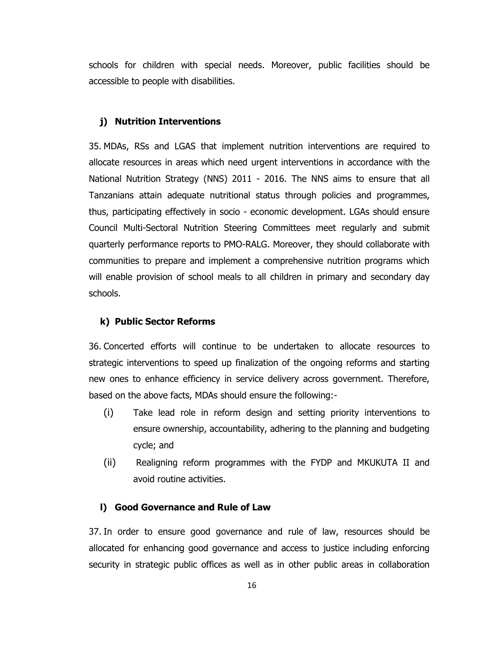schools for children with special needs. Moreover, public facilities should be accessible to people with disabilities.

## **j) Nutrition Interventions**

35. MDAs, RSs and LGAS that implement nutrition interventions are required to allocate resources in areas which need urgent interventions in accordance with the National Nutrition Strategy (NNS) 2011 - 2016. The NNS aims to ensure that all Tanzanians attain adequate nutritional status through policies and programmes, thus, participating effectively in socio - economic development. LGAs should ensure Council Multi-Sectoral Nutrition Steering Committees meet regularly and submit quarterly performance reports to PMO-RALG. Moreover, they should collaborate with communities to prepare and implement a comprehensive nutrition programs which will enable provision of school meals to all children in primary and secondary day schools.

### **k) Public Sector Reforms**

36. Concerted efforts will continue to be undertaken to allocate resources to strategic interventions to speed up finalization of the ongoing reforms and starting new ones to enhance efficiency in service delivery across government. Therefore, based on the above facts, MDAs should ensure the following:-

- (i) Take lead role in reform design and setting priority interventions to ensure ownership, accountability, adhering to the planning and budgeting cycle; and
- (ii) Realigning reform programmes with the FYDP and MKUKUTA II and avoid routine activities.

## **l) Good Governance and Rule of Law**

37. In order to ensure good governance and rule of law, resources should be allocated for enhancing good governance and access to justice including enforcing security in strategic public offices as well as in other public areas in collaboration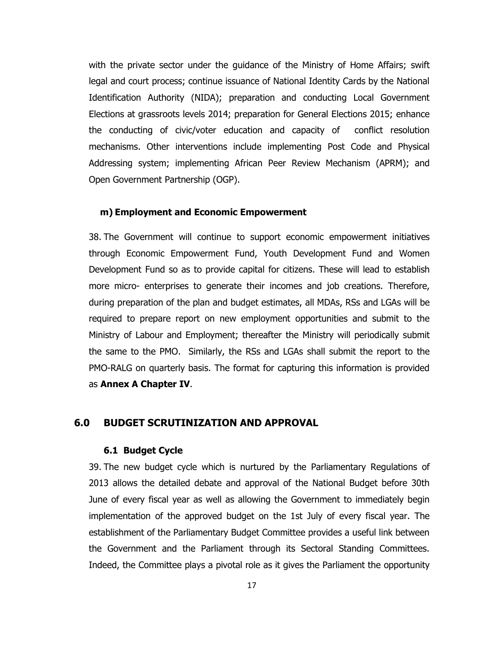with the private sector under the guidance of the Ministry of Home Affairs; swift legal and court process; continue issuance of National Identity Cards by the National Identification Authority (NIDA); preparation and conducting Local Government Elections at grassroots levels 2014; preparation for General Elections 2015; enhance the conducting of civic/voter education and capacity of conflict resolution mechanisms. Other interventions include implementing Post Code and Physical Addressing system; implementing African Peer Review Mechanism (APRM); and Open Government Partnership (OGP).

## **m) Employment and Economic Empowerment**

38. The Government will continue to support economic empowerment initiatives through Economic Empowerment Fund, Youth Development Fund and Women Development Fund so as to provide capital for citizens. These will lead to establish more micro- enterprises to generate their incomes and job creations. Therefore, during preparation of the plan and budget estimates, all MDAs, RSs and LGAs will be required to prepare report on new employment opportunities and submit to the Ministry of Labour and Employment; thereafter the Ministry will periodically submit the same to the PMO. Similarly, the RSs and LGAs shall submit the report to the PMO-RALG on quarterly basis. The format for capturing this information is provided as **Annex A Chapter IV**.

## **6.0 BUDGET SCRUTINIZATION AND APPROVAL**

#### **6.1 Budget Cycle**

39. The new budget cycle which is nurtured by the Parliamentary Regulations of 2013 allows the detailed debate and approval of the National Budget before 30th June of every fiscal year as well as allowing the Government to immediately begin implementation of the approved budget on the 1st July of every fiscal year. The establishment of the Parliamentary Budget Committee provides a useful link between the Government and the Parliament through its Sectoral Standing Committees. Indeed, the Committee plays a pivotal role as it gives the Parliament the opportunity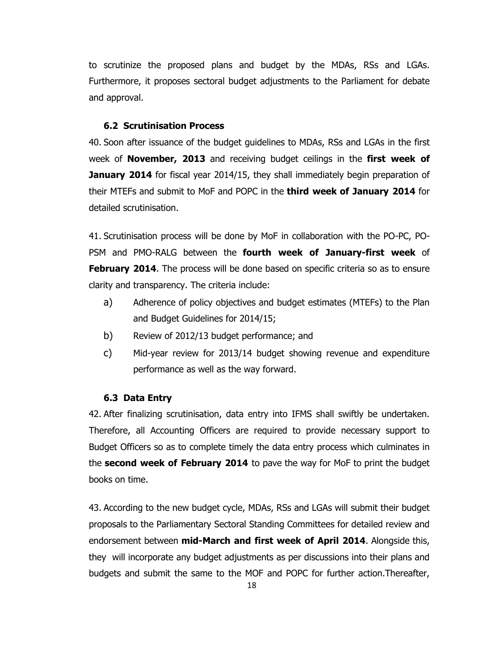to scrutinize the proposed plans and budget by the MDAs, RSs and LGAs. Furthermore, it proposes sectoral budget adjustments to the Parliament for debate and approval.

#### **6.2 Scrutinisation Process**

40. Soon after issuance of the budget guidelines to MDAs, RSs and LGAs in the first week of **November, 2013** and receiving budget ceilings in the **first week of January 2014** for fiscal year 2014/15, they shall immediately begin preparation of their MTEFs and submit to MoF and POPC in the **third week of January 2014** for detailed scrutinisation.

41. Scrutinisation process will be done by MoF in collaboration with the PO-PC, PO-PSM and PMO-RALG between the **fourth week of January-first week** of **February 2014.** The process will be done based on specific criteria so as to ensure clarity and transparency. The criteria include:

- a) Adherence of policy objectives and budget estimates (MTEFs) to the Plan and Budget Guidelines for 2014/15;
- b) Review of 2012/13 budget performance; and
- c) Mid-year review for 2013/14 budget showing revenue and expenditure performance as well as the way forward.

## **6.3 Data Entry**

42. After finalizing scrutinisation, data entry into IFMS shall swiftly be undertaken. Therefore, all Accounting Officers are required to provide necessary support to Budget Officers so as to complete timely the data entry process which culminates in the **second week of February 2014** to pave the way for MoF to print the budget books on time.

43. According to the new budget cycle, MDAs, RSs and LGAs will submit their budget proposals to the Parliamentary Sectoral Standing Committees for detailed review and endorsement between **mid-March and first week of April 2014**. Alongside this, they will incorporate any budget adjustments as per discussions into their plans and budgets and submit the same to the MOF and POPC for further action.Thereafter,